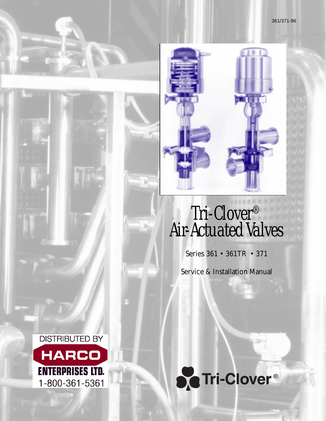# Tri-Clover® Air-Actuated Valves

Series 361 • 361TR • 371

Service & Installation Manual



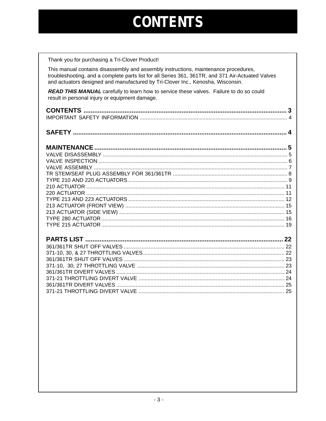## **CONTENTS**

Thank you for purchasing a Tri-Clover Product!

This manual contains disassembly and assembly instructions, maintenance procedures, troubleshooting, and a complete parts list for all Series 361, 361TR, and 371 Air-Actuated Valves and actuators designed and manufactured by Tri-Clover Inc., Kenosha, Wisconsin.

READ THIS MANUAL carefully to learn how to service these valves. Failure to do so could result in personal injury or equipment damage.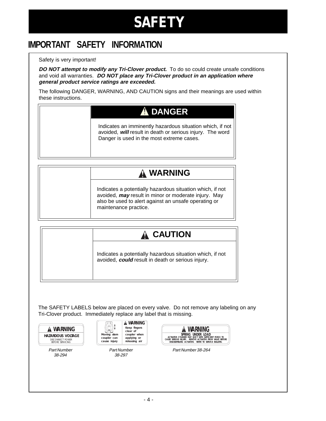## **SAFETY**

### <span id="page-2-0"></span>**IMPORTANT SAFETY INFORMATION**

#### Safety is very important!

**DO NOT attempt to modify any Tri-Clover product.** To do so could create unsafe conditions and void all warranties. **DO NOT place any Tri-Clover product in an application where general product service ratings are exceeded.**

The following DANGER, WARNING, AND CAUTION signs and their meanings are used within these instructions.

### **DANGER**

Indicates an imminently hazardous situation which, if not avoided, **will** result in death or serious injury. The word Danger is used in the most extreme cases.

### **WARNING**

Indicates a potentially hazardous situation which, if not avoided, **may** result in minor or moderate injury. May also be used to alert against an unsafe operating or maintenance practice.

### **A CAUTION**

Indicates a potentially hazardous situation which, if not avoided, **could** result in death or serious injury.

The SAFETY LABELS below are placed on every valve. Do not remove any labeling on any Tri-Clover product. Immediately replace any label that is missing.



Part Number 38-294



Part Number 38-297

| SPRING UNDER LOAD                                                                                                            |
|------------------------------------------------------------------------------------------------------------------------------|
| ACTUATOR CYLINDER MAY EJECT WITH SUFFICIENT FORCE TO<br>REMOVE ACTUATOR FROM<br><b>VAIVE BEFORE</b><br>CAUSE SERIOUS INJURY. |
| DISASSEMBLING ACTUATOR.<br>REFER TO SERVICE BULLETIN.                                                                        |

Part Number 38-264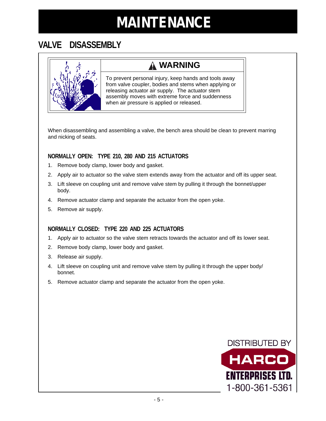### <span id="page-3-0"></span>**VALVE DISASSEMBLY**

### **WARNING**

To prevent personal injury, keep hands and tools away from valve coupler, bodies and stems when applying or releasing actuator air supply. The actuator stem assembly moves with extreme force and suddenness when air pressure is applied or released.

When disassembling and assembling a valve, the bench area should be clean to prevent marring and nicking of seats.

#### **NORMALLY OPEN: TYPE 210, 280 AND 215 ACTUATORS**

- 1. Remove body clamp, lower body and gasket.
- 2. Apply air to actuator so the valve stem extends away from the actuator and off its upper seat.
- 3. Lift sleeve on coupling unit and remove valve stem by pulling it through the bonnet/upper body.
- 4. Remove actuator clamp and separate the actuator from the open yoke.
- 5. Remove air supply.

#### **NORMALLY CLOSED: TYPE 220 AND 225 ACTUATORS**

- 1. Apply air to actuator so the valve stem retracts towards the actuator and off its lower seat.
- 2. Remove body clamp, lower body and gasket.
- 3. Release air supply.
- 4. Lift sleeve on coupling unit and remove valve stem by pulling it through the upper body/ bonnet.
- 5. Remove actuator clamp and separate the actuator from the open yoke.

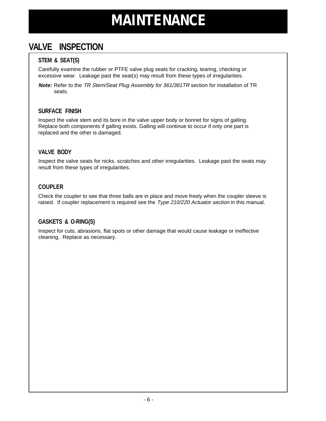### <span id="page-4-0"></span>**VALVE INSPECTION**

#### **STEM & SEAT(S)**

Carefully examine the rubber or PTFE valve plug seats for cracking, tearing, checking or excessive wear. Leakage past the seat(s) may result from these types of irregularities.

**Note:** Refer to the TR Stem/Seat Plug Assembly for 361/361TR section for installation of TR seats.

#### **SURFACE FINISH**

Inspect the valve stem and its bore in the valve upper body or bonnet for signs of galling. Replace both components if galling exists. Galling will continue to occur if only one part is replaced and the other is damaged.

#### **VALVE BODY**

Inspect the valve seats for nicks, scratches and other irregularities. Leakage past the seats may result from these types of irregularities.

#### **COUPLER**

Check the coupler to see that three balls are in place and move freely when the coupler sleeve is raised. If coupler replacement is required see the *Type 210/220 Actuator section* in this manual.

#### **GASKETS & O-RING(S)**

Inspect for cuts, abrasions, flat spots or other damage that would cause leakage or ineffective cleaning. Replace as necessary.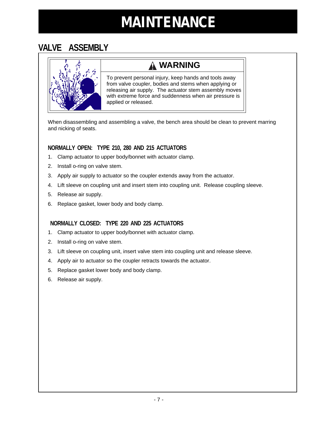### <span id="page-5-0"></span>**VALVE ASSEMBLY**



### **WARNING**

To prevent personal injury, keep hands and tools away from valve coupler, bodies and stems when applying or releasing air supply. The actuator stem assembly moves with extreme force and suddenness when air pressure is applied or released.

When disassembling and assembling a valve, the bench area should be clean to prevent marring and nicking of seats.

#### **NORMALLY OPEN: TYPE 210, 280 AND 215 ACTUATORS**

- 1. Clamp actuator to upper body/bonnet with actuator clamp.
- 2. Install o-ring on valve stem.
- 3. Apply air supply to actuator so the coupler extends away from the actuator.
- 4. Lift sleeve on coupling unit and insert stem into coupling unit. Release coupling sleeve.
- 5. Release air supply.
- 6. Replace gasket, lower body and body clamp.

#### **NORMALLY CLOSED: TYPE 220 AND 225 ACTUATORS**

- 1. Clamp actuator to upper body/bonnet with actuator clamp.
- 2. Install o-ring on valve stem.
- 3. Lift sleeve on coupling unit, insert valve stem into coupling unit and release sleeve.
- 4. Apply air to actuator so the coupler retracts towards the actuator.
- 5. Replace gasket lower body and body clamp.
- 6. Release air supply.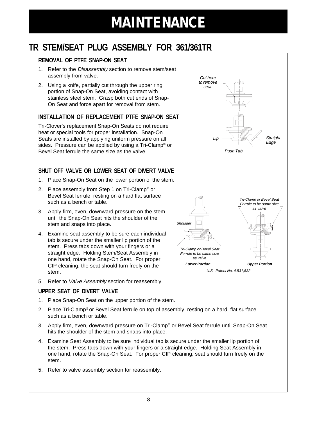### <span id="page-6-0"></span>**TR STEM/SEAT PLUG ASSEMBLY FOR 361/361TR**

#### **REMOVAL OF PTFE SNAP-ON SEAT**

- 1. Refer to the Disassembly section to remove stem/seat assembly from valve.
- 2. Using a knife, partially cut through the upper ring portion of Snap-On Seat, avoiding contact with stainless steel stem. Grasp both cut ends of Snap-On Seat and force apart for removal from stem.

#### **INSTALLATION OF REPLACEMENT PTFE SNAP-ON SEAT**

Tri-Clover's replacement Snap-On Seats do not require heat or special tools for proper installation. Snap-On Seats are installed by applying uniform pressure on all sides. Pressure can be applied by using a Tri-Clamp® or Bevel Seat ferrule the same size as the valve.

#### **SHUT OFF VALVE OR LOWER SEAT OF DIVERT VALVE**

- 1. Place Snap-On Seat on the lower portion of the stem.
- 2. Place assembly from Step 1 on Tri-Clamp® or Bevel Seat ferrule, resting on a hard flat surface such as a bench or table.
- 3. Apply firm, even, downward pressure on the stem until the Snap-On Seat hits the shoulder of the stem and snaps into place.
- 4. Examine seat assembly to be sure each individual tab is secure under the smaller lip portion of the stem. Press tabs down with your fingers or a straight edge. Holding Stem/Seat Assembly in one hand, rotate the Snap-On Seat. For proper CIP cleaning, the seat should turn freely on the stem.
- 5. Refer to Valve Assembly section for reassembly.

#### **UPPER SEAT OF DIVERT VALVE**

- 1. Place Snap-On Seat on the upper portion of the stem.
- 2. Place Tri-Clamp<sup>®</sup> or Bevel Seat ferrule on top of assembly, resting on a hard, flat surface such as a bench or table.
- 3. Apply firm, even, downward pressure on Tri-Clamp® or Bevel Seat ferrule until Snap-On Seat hits the shoulder of the stem and snaps into place.
- 4. Examine Seat Assembly to be sure individual tab is secure under the smaller lip portion of the stem. Press tabs down with your fingers or a straight edge. Holding Seat Assembly in one hand, rotate the Snap-On Seat. For proper CIP cleaning, seat should turn freely on the stem.
- 5. Refer to valve assembly section for reassembly.

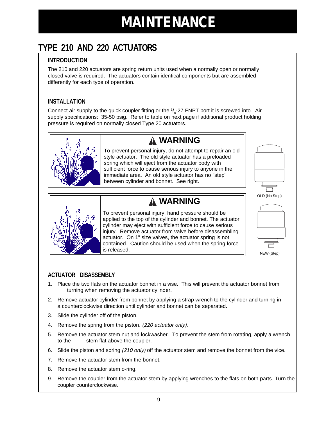### <span id="page-7-0"></span>**TYPE 210 AND 220 ACTUATORS**

#### **INTRODUCTION**

The 210 and 220 actuators are spring return units used when a normally open or normally closed valve is required. The actuators contain identical components but are assembled differently for each type of operation.

#### **INSTALLATION**

Connect air supply to the quick coupler fitting or the  $\frac{1}{8}$ -27 FNPT port it is screwed into. Air supply specifications: 35-50 psig. Refer to table on next page if additional product holding pressure is required on normally closed Type 20 actuators.



To prevent personal injury, do not attempt to repair an old style actuator. The old style actuator has a preloaded spring which will eject from the actuator body with **WARNING**

sufficient force to cause serious injury to anyone in the immediate area. An old style actuator has no "step" between cylinder and bonnet. See right.

### **WARNING**



To prevent personal injury, hand pressure should be applied to the top of the cylinder and bonnet. The actuator cylinder may eject with sufficient force to cause serious injury. Remove actuator from valve before disassembling actuator. On 1" size valves, the actuator spring is not contained. Caution should be used when the spring force is released.





NEW (Step)

#### **ACTUATOR DISASSEMBLY**

- 1. Place the two flats on the actuator bonnet in a vise. This will prevent the actuator bonnet from turning when removing the actuator cylinder.
- 2. Remove actuator cylinder from bonnet by applying a strap wrench to the cylinder and turning in a counterclockwise direction until cylinder and bonnet can be separated.
- 3. Slide the cylinder off of the piston.
- 4. Remove the spring from the piston. (220 actuator only).
- 5. Remove the actuator stem nut and lockwasher. To prevent the stem from rotating, apply a wrench to the stem flat above the coupler.
- 6. Slide the piston and spring (210 only) off the actuator stem and remove the bonnet from the vice.
- 7. Remove the actuator stem from the bonnet.
- 8. Remove the actuator stem o-ring.
- 9. Remove the coupler from the actuator stem by applying wrenches to the flats on both parts. Turn the coupler counterclockwise.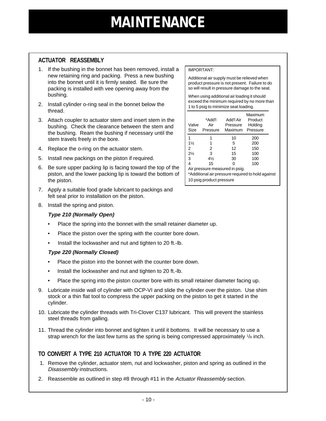#### **ACTUATOR REASSEMBLY**

- 1. If the bushing in the bonnet has been removed, install a new retaining ring and packing. Press a new bushing into the bonnet until it is firmly seated. Be sure the packing is installed with vee opening away from the bushing.
- 2. Install cylinder o-ring seal in the bonnet below the thread.
- 3. Attach coupler to actuator stem and insert stem in the bushing. Check the clearance between the stem and the bushing. Ream the bushing if necessary until the stem travels freely in the bore.
- 4. Replace the o-ring on the actuator stem.
- 5. Install new packings on the piston if required.
- 6. Be sure upper packing lip is facing toward the top of the piston, and the lower packing lip is toward the bottom of the piston.
- 7. Apply a suitable food grade lubricant to packings and felt seal prior to installation on the piston.
- 8. Install the spring and piston.

#### **Type 210 (Normally Open)**

- Place the spring into the bonnet with the small retainer diameter up.
- Place the piston over the spring with the counter bore down.
- Install the lockwasher and nut and tighten to 20 ft.-lb.

#### **Type 220 (Normally Closed)**

- Place the piston into the bonnet with the counter bore down.
- Install the lockwasher and nut and tighten to 20 ft.-lb.
- Place the spring into the piston counter bore with its small retainer diameter facing up.
- 9. Lubricate inside wall of cylinder with OCP-VI and slide the cylinder over the piston. Use shim stock or a thin flat tool to compress the upper packing on the piston to get it started in the cylinder.
- 10. Lubricate the cylinder threads with Tri-Clover C137 lubricant. This will prevent the stainless steel threads from galling.
- 11. Thread the cylinder into bonnet and tighten it until it bottoms. It will be necessary to use a strap wrench for the last few turns as the spring is being compressed approximately  $\frac{1}{8}$  inch.

#### **TO CONVERT A TYPE 210 ACTUATOR TO A TYPE 220 ACTUATOR**

- 1. Remove the cylinder, actuator stem, nut and lockwasher, piston and spring as outlined in the Disassembly instructions.
- 2. Reassemble as outlined in step #8 through #11 in the Actuator Reassembly section.

#### IMPORTANT:

Additional air supply must be relieved when product pressure is not present. Failure to do so will result in pressure damage to the seat.

When using additional air loading it should exceed the minimum required by no more than 1 to 5 psig to minimize seat loading.

| Valve<br>Size                                                                       | *Add'l<br>Air<br>Pressure | Add'l Air<br>Pressure<br>Maximum | Maximum<br>Product<br>Holding<br>Pressure |  |  |  |
|-------------------------------------------------------------------------------------|---------------------------|----------------------------------|-------------------------------------------|--|--|--|
| 1                                                                                   |                           | 10                               | 200                                       |  |  |  |
| $1\frac{1}{2}$                                                                      | 1                         | 5                                | 200                                       |  |  |  |
| 2                                                                                   | 2                         | 12                               | 150                                       |  |  |  |
| $2\frac{1}{2}$                                                                      | 3                         | 15                               | 100                                       |  |  |  |
| 3                                                                                   | $4\frac{1}{2}$            | 30                               | 100                                       |  |  |  |
| 4                                                                                   | 15                        | ი                                | 100                                       |  |  |  |
| Air pressure measured in psig.<br>*Additional air pressure required to hold against |                           |                                  |                                           |  |  |  |

10 psig product pressure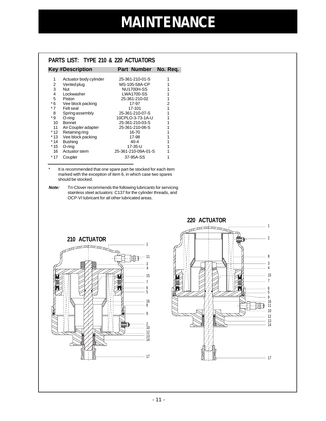<span id="page-9-0"></span>

| <b>PARTS LIST: TYPE 210 &amp; 220 ACTUATORS</b> |                         |                     |          |  |  |  |
|-------------------------------------------------|-------------------------|---------------------|----------|--|--|--|
|                                                 | <b>Key #Description</b> | Part Number         | No. Req. |  |  |  |
| 1                                               | Actuator body cylinder  | 25-361-210-01-S     | 1        |  |  |  |
| 2                                               | Vented plug             | MS-105-58A-CP       |          |  |  |  |
| 3                                               | <b>Nut</b>              | <b>NU1700H-SS</b>   | 1        |  |  |  |
| 4                                               | Lockwasher              | <b>LWA1700-SS</b>   | 1        |  |  |  |
| 5                                               | Piston                  | 25-361-210-02       | 1        |  |  |  |
| * 6                                             | Vee block packing       | 17-97               | 2        |  |  |  |
| * 7                                             | Felt seal               | 17-101              | 1        |  |  |  |
| 8                                               | Spring assembly         | 25-361-210-07-S     | 1        |  |  |  |
| * 9                                             | O-ring                  | 10CPLO-3-73-1A-U    |          |  |  |  |
| 10                                              | <b>Bonnet</b>           | 25-361-210-03-S     |          |  |  |  |
| 11                                              | Air Coupler adapter     | 25-361-210-06-S     |          |  |  |  |
| * 12                                            | Retaining ring          | 16-70               |          |  |  |  |
| * 13                                            | Vee block packing       | 17-98               |          |  |  |  |
| * 14                                            | <b>Bushing</b>          | 40-4                | 1        |  |  |  |
| * 15                                            | O-ring                  | 17-35-U             |          |  |  |  |
| 16                                              | Actuator stem           | 25-361-210-09A-01-S |          |  |  |  |
| $*17$                                           | Coupler                 | 37-95A-SS           |          |  |  |  |

\* It is recommended that one spare part be stocked for each item marked with the exception of item 6, in which case two spares should be stocked.

**Note:** Tri-Clover recommends the following lubricants for servicing stainless steel actuators: C137 for the cylinder threads, and OCP-VI lubricant for all other lubricated areas.



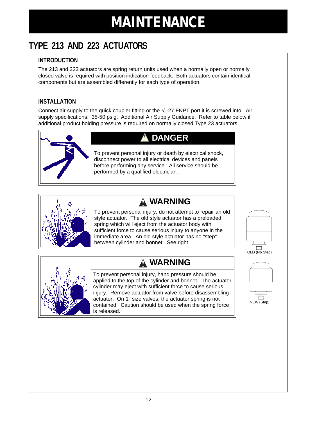### <span id="page-10-0"></span>**TYPE 213 AND 223 ACTUATORS**

#### **INTRODUCTION**

The 213 and 223 actuators are spring return units used when a normally open or normally closed valve is required with position indication feedback. Both actuators contain identical components but are assembled differently for each type of operation.

#### **INSTALLATION**

Connect air supply to the quick coupler fitting or the  $1/s-27$  FNPT port it is screwed into. Air supply specifications: 35-50 psig. Additional Air Supply Guidance. Refer to table below if additional product holding pressure is required on normally closed Type 23 actuators.



### **DANGER**

To prevent personal injury or death by electrical shock, disconnect power to all electrical devices and panels before performing any service. All service should be performed by a qualified electrician.



### **WARNING**

To prevent personal injury, do not attempt to repair an old style actuator. The old style actuator has a preloaded spring which will eject from the actuator body with sufficient force to cause serious injury to anyone in the immediate area. An old style actuator has no "step" between cylinder and bonnet. See right.





To prevent personal injury, hand pressure should be applied to the top of the cylinder and bonnet. The actuator cylinder may eject with sufficient force to cause serious injury. Remove actuator from valve before disassembling actuator. On 1" size valves, the actuator spring is not contained. Caution should be used when the spring force is released.



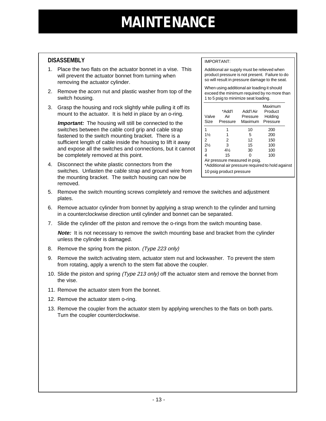#### **DISASSEMBLY**

- 1. Place the two flats on the actuator bonnet in a vise. This will prevent the actuator bonnet from turning when removing the actuator cylinder.
- 2. Remove the acorn nut and plastic washer from top of the switch housing.
- 3. Grasp the housing and rock slightly while pulling it off its mount to the actuator. It is held in place by an o-ring.

**Important:** The housing will still be connected to the switches between the cable cord grip and cable strap fastened to the switch mounting bracket. There is a sufficient length of cable inside the housing to lift it away and expose all the switches and connections, but it cannot be completely removed at this point.

4. Disconnect the white plastic connectors from the switches. Unfasten the cable strap and ground wire from the mounting bracket. The switch housing can now be removed.

#### IMPORTANT:

Additional air supply must be relieved when product pressure is not present. Failure to do so will result in pressure damage to the seat.

When using additional air loading it should exceed the minimum required by no more than 1 to 5 psig to minimize seat loading.

| Valve<br>Size                                     | *Add'l<br>Air<br>Pressure | Add'l Air<br>Pressure<br>Maximum | Maximum<br>Product<br>Holding<br>Pressure |  |  |
|---------------------------------------------------|---------------------------|----------------------------------|-------------------------------------------|--|--|
| 1                                                 | 1                         | 10                               | 200                                       |  |  |
| $1\frac{1}{2}$                                    | 1                         | 5                                | 200                                       |  |  |
| 2                                                 | 2                         | 12                               | 150                                       |  |  |
| $2\frac{1}{2}$                                    | 3                         | 15                               | 100                                       |  |  |
| 3                                                 | $4\frac{1}{2}$            | 30                               | 100                                       |  |  |
| 4                                                 | 15                        | 0                                | 100                                       |  |  |
| Air pressure measured in psig.                    |                           |                                  |                                           |  |  |
| *Additional air pressure required to hold against |                           |                                  |                                           |  |  |
| 10 psig product pressure                          |                           |                                  |                                           |  |  |

- 5. Remove the switch mounting screws completely and remove the switches and adjustment plates.
- 6. Remove actuator cylinder from bonnet by applying a strap wrench to the cylinder and turning in a counterclockwise direction until cylinder and bonnet can be separated.
- 7. Slide the cylinder off the piston and remove the o-rings from the switch mounting base.

**Note:** It is not necessary to remove the switch mounting base and bracket from the cylinder unless the cylinder is damaged.

- 8. Remove the spring from the piston. (Type 223 only)
- 9. Remove the switch activating stem, actuator stem nut and lockwasher. To prevent the stem from rotating, apply a wrench to the stem flat above the coupler.
- 10. Slide the piston and spring (Type 213 only) off the actuator stem and remove the bonnet from the vise.
- 11. Remove the actuator stem from the bonnet.
- 12. Remove the actuator stem o-ring.
- 13. Remove the coupler from the actuator stem by applying wrenches to the flats on both parts. Turn the coupler counterclockwise.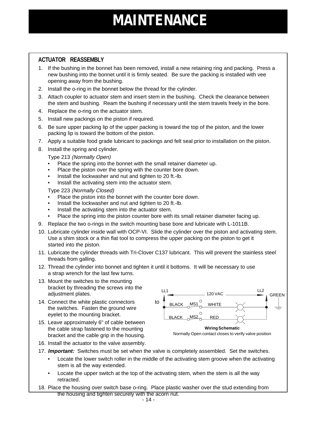#### **ACTUATOR REASSEMBLY**

- 1. If the bushing in the bonnet has been removed, install a new retaining ring and packing. Press a new bushing into the bonnet until it is firmly seated. Be sure the packing is installed with vee opening away from the bushing.
- 2. Install the o-ring in the bonnet below the thread for the cylinder.
- 3. Attach coupler to actuator stem and insert stem in the bushing. Check the clearance between the stem and bushing. Ream the bushing if necessary until the stem travels freely in the bore.
- 4. Replace the o-ring on the actuator stem.
- 5. Install new packings on the piston if required.
- 6. Be sure upper packing lip of the upper packing is toward the top of the piston, and the lower packing lip is toward the bottom of the piston.
- 7. Apply a suitable food grade lubricant to packings and felt seal prior to installation on the piston.
- 8. Install the spring and cylinder.

Type 213 (Normally Open)

- Place the spring into the bonnet with the small retainer diameter up.
- Place the piston over the spring with the counter bore down.
- Install the lockwasher and nut and tighten to 20 ft.-lb.
- Install the activating stem into the actuator stem.

Type 223 (Normally Closed)

- Place the piston into the bonnet with the counter bore down.
- Install the lockwasher and nut and tighten to 20 ft.-lb.
- Install the activating stem into the actuator stem.
- Place the spring into the piston counter bore with its small retainer diameter facing up.
- 9. Replace the two o-rings in the switch mounting base bore and lubricate with L-1011B.
- 10. Lubricate cylinder inside wall with OCP-VI. Slide the cylinder over the piston and activating stem. Use a shim stock or a thin flat tool to compress the upper packing on the piston to get it started into the piston.
- 11. Lubricate the cylinder threads with Tri-Clover C137 lubricant. This will prevent the stainless steel threads from galling.
- 12. Thread the cylinder into bonnet and tighten it until it bottoms. It will be necessary to use a strap wrench for the last few turns.
- 13. Mount the switches to the mounting bracket by threading the screws into the adjustment plates.
- 14. Connect the white plastic connectors to the switches. Fasten the ground wire eyelet to the mounting bracket.
- 15. Leave approximately 6" of cable between the cable strap fastened to the mounting bracket and the cable grip in the housing.



Normally Open contact closes to verify valve position

- 16. Install the actuator to the valve assembly.
- 17. **Important:** Switches must be set when the valve is completely assembled. Set the switches.
	- Locate the lower switch roller in the middle of the activating stem groove when the activating stem is all the way extended.
	- Locate the upper switch at the top of the activating stem, when the stem is all the way retracted.
- 18. Place the housing over switch base o-ring. Place plastic washer over the stud extending from the housing and tighten securely with the acorn nut.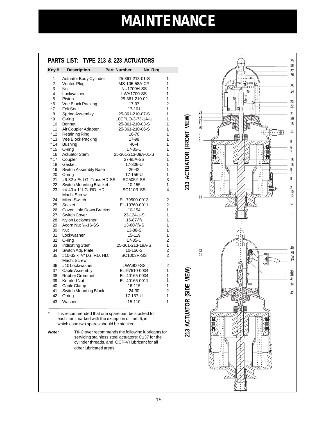$\begin{array}{c} 1 \\ 1 \end{array}$ 

### <span id="page-13-0"></span>**PARTS LIST: TYPE 213 & 223 ACTUATORS**

| Key#           | <b>Description</b>             | <b>Part Number</b>          | No. Req.       |
|----------------|--------------------------------|-----------------------------|----------------|
| 1              | Actuator Body Cylinder         | 25-361-213-01-S             | 1              |
| $\overline{c}$ | Vented Plug                    | MS-105-58A-CP               | 1              |
| 3              | Nut                            | <b>NU1700H-SS</b>           | 1              |
| 4              | Lockwasher                     | <b>LWA1700-SS</b>           | 1              |
| 5              | Piston                         | 25-361-210-02               | 1              |
| $*6$           | Vee Block Packing              | 17-97                       | $\overline{2}$ |
| $*7$           | <b>Felt Seal</b>               | 17-101                      | $\overline{1}$ |
| 8              | <b>Spring Assembly</b>         | 25-361-210-07-S             | 1              |
| * 9            | O-ring                         | 10CPLO-3-73-1A-U            | 1              |
| 10             | <b>Bonnet</b>                  | 25-361-210-03-S             | 1              |
| 11             | Air Coupler Adapter            | 25-361-210-06-S             | 1              |
| * 12           | <b>Retaining Ring</b>          | 16-70                       | $\overline{1}$ |
| $*13$          | Vee Block Packing              | 17-98                       | 1              |
| $*14$          | <b>Bushing</b>                 | $40 - 4$                    | $\overline{1}$ |
| * 15           | $O$ -ring                      | 17-35-U                     | 1              |
| 16             | <b>Actuator Stem</b>           | 25-361-213-09A-01-S         | 1              |
| * 17           | Coupler                        | 37-95A-SS                   | 1              |
| 18             | Gasket                         | 17-306-U                    | 1              |
| 19             | Switch Assembly Base           | 26-42                       | $\overline{1}$ |
| 20             | O-ring                         | 17-156-U                    | 1              |
| 21             | #6-32 x 3/8 LG. Truss HD-SS    | <b>SC505Y-SS</b>            | 3              |
| 22             | <b>Switch Mounting Bracket</b> | 10-155                      | 1              |
| 23             | #4-40 x 1" LG. RD. HD.         | <b>SC110R-SS</b>            | 4              |
|                | Mach, Screw                    |                             |                |
| 24             | Micro-Switch                   | EL-79500-0013               | 2              |
| 25             | Socket                         | EL-19760-0011               | $\overline{2}$ |
| 26             | Cover Hold Down Bracket        | 10-154                      | 1              |
| 27             | <b>Switch Cover</b>            | 23-124-1-S                  | 1              |
| 28             | Nylon Lockwasher               | $15 - 87 - \frac{3}{8}$     | $\overline{1}$ |
| 29             | Acorn Nut 3/8-16-SS            | $13 - 60 - \frac{3}{8} - S$ | 1              |
| 30             | Nut                            | 13-88-S                     | $\overline{1}$ |
| 31             | Lockwasher                     | 15-119                      | 1              |
| 32             | O-ring                         | 17-35-U                     | $\overline{2}$ |
| 33             | Indicating Stem                | 25-361-213-19A-S            | 1              |
| 34             | Switch Adj. Plate              | 10-156-S                    | 2              |
| 35             | #10-32 x 1/4" LG. RD. HD.      | SC1003R-SS                  | $\overline{2}$ |
|                | Mach, Screw                    |                             |                |
| 36             | #10 Lockwasher                 | <b>LWA900-SS</b>            | 2              |
| 37             | Cable Assembly                 | EL-97510-0004               | 1              |
| 38             | <b>Rubber Grommet</b>          | EL-40165-0004               | 1              |
| 39             | <b>Knurled Nut</b>             | EL-40165-0011               | 1              |
| 40             | Cable Clamp                    | 16-115                      | 1              |
| 41             | Switch Mounting Block          | 24-30                       | $\overline{c}$ |
| 42             | O-ring                         | 17-157-U                    | $\overline{1}$ |
| 43             | Washer                         | 15-110                      | 1              |

It is recommended that one spare part be stocked for each item marked with the exception of item 6, in which case two spares should be stocked.

**Note:** Tri-Clover recommends the following lubricants for servicing stainless steel actuators: C137 for the cylinder threads, and OCP-VI lubricant for all other lubricated areas.

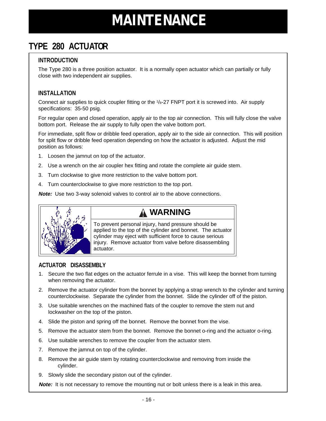### <span id="page-14-0"></span>**TYPE 280 ACTUATOR**

#### **INTRODUCTION**

The Type 280 is a three position actuator. It is a normally open actuator which can partially or fully close with two independent air supplies.

#### **INSTALLATION**

Connect air supplies to quick coupler fitting or the <sup>1</sup>/8-27 FNPT port it is screwed into. Air supply specifications: 35-50 psig.

For regular open and closed operation, apply air to the top air connection. This will fully close the valve bottom port. Release the air supply to fully open the valve bottom port.

For immediate, split flow or dribble feed operation, apply air to the side air connection. This will position for split flow or dribble feed operation depending on how the actuator is adjusted. Adjust the mid position as follows:

- 1. Loosen the jamnut on top of the actuator.
- 2. Use a wrench on the air coupler hex fitting and rotate the complete air guide stem.
- 3. Turn clockwise to give more restriction to the valve bottom port.
- 4. Turn counterclockwise to give more restriction to the top port.

**Note:** Use two 3-way solenoid valves to control air to the above connections.



### **WARNING**

To prevent personal injury, hand pressure should be applied to the top of the cylinder and bonnet. The actuator cylinder may eject with sufficient force to cause serious injury. Remove actuator from valve before disassembling actuator.

#### **ACTUATOR DISASSEMBLY**

- 1. Secure the two flat edges on the actuator ferrule in a vise. This will keep the bonnet from turning when removing the actuator.
- 2. Remove the actuator cylinder from the bonnet by applying a strap wrench to the cylinder and turning counterclockwise. Separate the cylinder from the bonnet. Slide the cylinder off of the piston.
- 3. Use suitable wrenches on the machined flats of the coupler to remove the stem nut and lockwasher on the top of the piston.
- 4. Slide the piston and spring off the bonnet. Remove the bonnet from the vise.
- 5. Remove the actuator stem from the bonnet. Remove the bonnet o-ring and the actuator o-ring.
- 6. Use suitable wrenches to remove the coupler from the actuator stem.
- 7. Remove the jamnut on top of the cylinder.
- 8. Remove the air guide stem by rotating counterclockwise and removing from inside the cylinder.
- 9. Slowly slide the secondary piston out of the cylinder.

**Note:** It is not necessary to remove the mounting nut or bolt unless there is a leak in this area.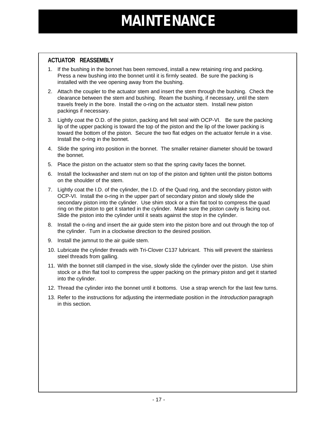#### **ACTUATOR REASSEMBLY**

- 1. If the bushing in the bonnet has been removed, install a new retaining ring and packing. Press a new bushing into the bonnet until it is firmly seated. Be sure the packing is installed with the vee opening away from the bushing.
- 2. Attach the coupler to the actuator stem and insert the stem through the bushing. Check the clearance between the stem and bushing. Ream the bushing, if necessary, until the stem travels freely in the bore. Install the o-ring on the actuator stem. Install new piston packings if necessary.
- 3. Lightly coat the O.D. of the piston, packing and felt seal with OCP-VI. Be sure the packing lip of the upper packing is toward the top of the piston and the lip of the lower packing is toward the bottom of the piston. Secure the two flat edges on the actuator ferrule in a vise. Install the o-ring in the bonnet.
- 4. Slide the spring into position in the bonnet. The smaller retainer diameter should be toward the bonnet.
- 5. Place the piston on the actuator stem so that the spring cavity faces the bonnet.
- 6. Install the lockwasher and stem nut on top of the piston and tighten until the piston bottoms on the shoulder of the stem.
- 7. Lightly coat the I.D. of the cylinder, the I.D. of the Quad ring, and the secondary piston with OCP-VI. Install the o-ring in the upper part of secondary piston and slowly slide the secondary piston into the cylinder. Use shim stock or a thin flat tool to compress the quad ring on the piston to get it started in the cylinder. Make sure the piston cavity is facing out. Slide the piston into the cylinder until it seats against the stop in the cylinder.
- 8. Install the o-ring and insert the air guide stem into the piston bore and out through the top of the cylinder. Turn in a clockwise direction to the desired position.
- 9. Install the jamnut to the air guide stem.
- 10. Lubricate the cylinder threads with Tri-Clover C137 lubricant. This will prevent the stainless steel threads from galling.
- 11. With the bonnet still clamped in the vise, slowly slide the cylinder over the piston. Use shim stock or a thin flat tool to compress the upper packing on the primary piston and get it started into the cylinder.
- 12. Thread the cylinder into the bonnet until it bottoms. Use a strap wrench for the last few turns.
- 13. Refer to the instructions for adjusting the intermediate position in the Introduction paragraph in this section.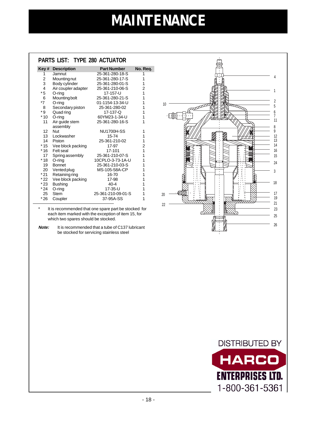|                 | PARTS LIST: TYPE 280 ACTUATOR |                    |                         |
|-----------------|-------------------------------|--------------------|-------------------------|
| Key #           | <b>Description</b>            | <b>Part Number</b> | No. Req.                |
| 1               | Jamnut                        | 25-361-280-18-S    | 1                       |
| 2               | Mounting nut                  | 25-361-280-17-S    | 1                       |
| 3               | Body cylinder                 | 25-361-280-01-S    | 1                       |
| $\overline{4}$  | Air coupler adapter           | 25-361-210-06-S    | $\overline{\mathbf{c}}$ |
| * 5             | $O$ -ring                     | 17-157-U           | 1                       |
| 6               | Mounting bolt                 | 25-361-280-21-S    | 1                       |
| $*7$            | $O$ -ring                     | 01-1154-13-34-U    | 1                       |
| 8               | Secondary piston              | 25-361-280-02      | 1                       |
| * 9             | Quad ring                     | 17-137-Q           | 1                       |
| $*10$           | $O$ -ring                     | 60YM23-1-34-U      | 1                       |
| 11              | Air guide stem                | 25-361-280-16-S    | 1                       |
|                 | assembly                      |                    |                         |
| 12 <sup>°</sup> | Nut                           | <b>NU1700H-SS</b>  | 1                       |
|                 | 13 Lockwasher                 | 15-74              | 1                       |
|                 | 14 Piston                     | 25-361-210-02      | 1                       |
|                 | *15 Vee block packing         | 17-97              | $\overline{c}$          |
|                 | *16 Felt seal                 | 17-101             | $\overline{1}$          |
| 17              | Spring assembly               | 25-361-210-07-S    | $\overline{1}$          |
| $*18$           | $O$ -ring                     | 10CPLO-3-73-1A-U   | 1                       |
| 19              | <b>Bonnet</b>                 | 25-361-210-03-S    | 1                       |
| 20              | Vented plug                   | MS-105-58A-CP      | 1                       |
| * 21            | Retaining ring                | 16-70              | 1                       |
|                 | *22 Vee block packing         | 17-98              | 1                       |
| $*23$           | <b>Bushing</b>                | $40 - 4$           | 1                       |
| * 24            | O-ring                        | 17-35-U            | 1                       |
| 25              | <b>Stem</b>                   | 25-361-210-09-01-S | 1                       |
| $*26$           | Coupler                       | 37-95A-SS          | 1                       |

It is recommended that one spare part be stocked for each item marked with the exception of item 15, for which two spares should be stocked.

**Note:** It is recommended that a tube of C137 lubricant be stocked for servicing stainless steel



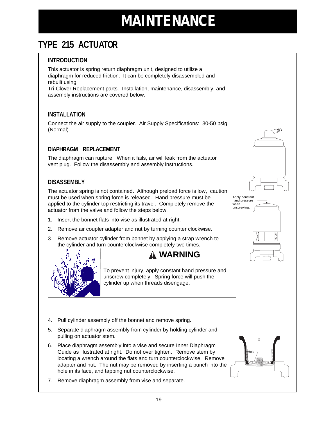### <span id="page-17-0"></span>**TYPE 215 ACTUATOR**

#### **INTRODUCTION**

This actuator is spring return diaphragm unit, designed to utilize a diaphragm for reduced friction. It can be completely disassembled and rebuilt using Tri-Clover Replacement parts. Installation, maintenance, disassembly, and assembly instructions are covered below.

#### **INSTALLATION**

Connect the air supply to the coupler. Air Supply Specifications: 30-50 psig (Normal).

#### **DIAPHRAGM REPLACEMENT**

The diaphragm can rupture. When it fails, air will leak from the actuator vent plug. Follow the disassembly and assembly instructions.

#### **DISASSEMBLY**

The actuator spring is not contained. Although preload force is low, caution must be used when spring force is released. Hand pressure must be applied to the cylinder top restricting its travel. Completely remove the actuator from the valve and follow the steps below.

- 1. Insert the bonnet flats into vise as illustrated at right.
- 2. Remove air coupler adapter and nut by turning counter clockwise.
- 3. Remove actuator cylinder from bonnet by applying a strap wrench to the cylinder and turn counterclockwise completely two times.



To prevent injury, apply constant hand pressure and unscrew completely. Spring force will push the cylinder up when threads disengage.

- 4. Pull cylinder assembly off the bonnet and remove spring.
- 5. Separate diaphragm assembly from cylinder by holding cylinder and pulling on actuator stem.
- 6. Place diaphragm assembly into a vise and secure Inner Diaphragm Guide as illustrated at right. Do not over tighten. Remove stem by locating a wrench around the flats and turn counterclockwise. Remove adapter and nut. The nut may be removed by inserting a punch into the hole in its face, and tapping nut counterclockwise.
- 7. Remove diaphragm assembly from vise and separate.



Apply constant hand pressure when unscrewing.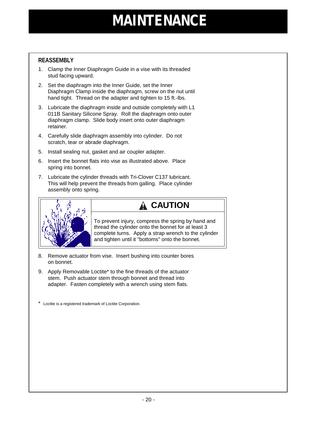#### **REASSEMBLY**

- 1. Clamp the Inner Diaphragm Guide in a vise with its threaded stud facing upward.
- 2. Set the diaphragm into the Inner Guide, set the Inner Diaphragm Clamp inside the diaphragm, screw on the nut until hand tight. Thread on the adapter and tighten to 15 ft.-lbs.
- 3. Lubricate the diaphragm inside and outside completely with L1 011B Sanitary Silicone Spray. Roll the diaphragm onto outer diaphragm clamp. Slide body insert onto outer diaphragm retainer.
- 4. Carefully slide diaphragm assembly into cylinder. Do not scratch, tear or abrade diaphragm.
- 5. Install sealing nut, gasket and air coupler adapter.
- 6. Insert the bonnet flats into vise as illustrated above. Place spring into bonnet.
- 7. Lubricate the cylinder threads with Tri-Clover C137 lubricant. This will help prevent the threads from galling. Place cylinder assembly onto spring.



### **A** CAUTION

To prevent injury, compress the spring by hand and thread the cylinder onto the bonnet for at least 3 complete turns. Apply a strap wrench to the cylinder and tighten until it "bottoms" onto the bonnet.

- 8. Remove actuator from vise. Insert bushing into counter bores on bonnet.
- 9. Apply Removable Loctite\* to the fine threads of the actuator stem. Push actuator stem through bonnet and thread into adapter. Fasten completely with a wrench using stem flats.

\* Loctite is a registered trademark of Loctite Corporation.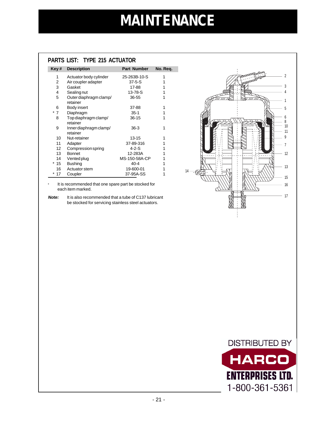#### **PARTS LIST: TYPE 215 ACTUATOR**

| Key#   | <b>Description</b>                 | <b>Part Number</b> | No. Req. |
|--------|------------------------------------|--------------------|----------|
| 1      | Actuator body cylinder             | 25-263B-10-S       | 1        |
| 2      | Air coupler adapter                | $37 - 5 - S$       |          |
| 3      | Gasket                             | 17-88              |          |
| 4      | Sealingnut                         | 13-78-S            |          |
| 5      | Outer diaphragm clamp/<br>retainer | 36-55              | 1        |
| 6      | Body insert                        | 37-88              | 1        |
| *<br>7 | Diaphragm                          | $35 - 1$           | 1        |
| 8      | Top diaphragm clamp/<br>retainer   | 36-15              | 1        |
| 9      | Inner diaphragm clamp/<br>retainer | $36-3$             | 1        |
| 10     | Nut-retainer                       | 13-15              | 1        |
| 11     | Adapter                            | 37-89-316          |          |
| 12     | Compression spring                 | 4-2-S              |          |
| 13     | <b>Bonnet</b>                      | 12-283A            |          |
| 14     | Vented plug                        | MS-150-58A-CP      |          |
| * 15   | <b>Bushing</b>                     | $40 - 4$           |          |
| 16     | Actuator stem                      | 19-600-01          |          |
| -17    | Coupler                            | 37-95A-SS          |          |

It is recommended that one spare part be stocked for each item marked.

**Note:** It is also recommended that a tube of C137 lubricant be stocked for servicing stainless steel actuators.



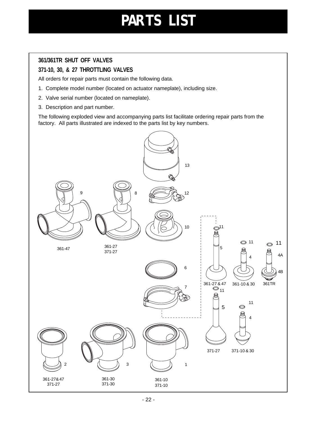## **PARTS LIST**

#### <span id="page-20-0"></span>**361/361TR SHUT OFF VALVES**

#### **371-10, 30, & 27 THROTTLING VALVES**

All orders for repair parts must contain the following data.

- 1. Complete model number (located on actuator nameplate), including size.
- 2. Valve serial number (located on nameplate).
- 3. Description and part number.

The following exploded view and accompanying parts list facilitate ordering repair parts from the factory. All parts illustrated are indexed to the parts list by key numbers.

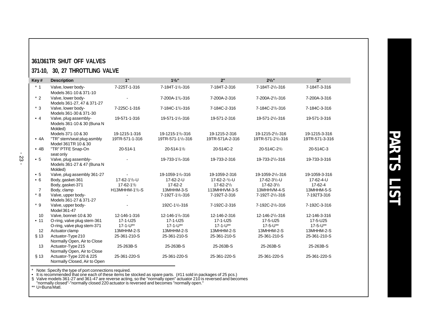#### <span id="page-21-0"></span>**361/361TR SHUT OFF VALVES**

#### **371-10, 30, 27 THROTTLING VALVE**

| Key#           | <b>Description</b>                                             | 1"                | $1^{1}/2$ "       | 2"                              | $2^{1}/2$ "                               | 3"             |
|----------------|----------------------------------------------------------------|-------------------|-------------------|---------------------------------|-------------------------------------------|----------------|
| $*1$           | Valve, lower body-<br>Models 361-10 & 371-10                   | 7-225T-1-316      | 7-184T-11/2-316   | 7-184T-2-316                    | 7-184T-2 <sup>1</sup> / <sub>2</sub> -316 | 7-184T-3-316   |
| $*2$           | Valve, lower body-<br>Models 361-27, 47 & 371-27               |                   | 7-200A-11/2-316   | 7-200A-2-316                    | 7-200A-2 <sup>1</sup> / <sub>2</sub> -316 | 7-200A-3-316   |
| $*3$           | Valve, lower body-<br>Models 361-30 & 371-30                   | 7-225C-1-316      | 7-184C-11/2-316   | 7-184C-2-316                    | 7-184C-2 <sup>1</sup> / <sub>2</sub> -316 | 7-184C-3-316   |
| $\bullet$ 4    | Valve, plug assembly-<br>Models 361-10 & 30 (Buna N<br>Molded) | 19-571-1-316      | 19-571-11/2-316   | 19-571-2-316                    | 19-571-21/2-316                           | 19-571-3-316   |
|                | Models 371-10 & 30                                             | 19-1215-1-316     | 19-1215-11/2-316  | 19-1215-2-316                   | 19-1215-21/2-316                          | 19-1215-3-316  |
| • 4A           | "TR" stem/seat plug asmbly<br>Model 361TR 10 & 30              | 19TR-571-1-316    | 19TR-571-11/2-316 | 19TR-571A-2-316                 | 19TR-571-21/2-316                         | 19TR-571-3-316 |
| • 4B           | "TR" PTFE Snap-On<br>seat only                                 | 20-514-1          | $20 - 514 - 11/2$ | 20-514C-2                       | 20-514C-2 <sup>1</sup> / <sub>2</sub>     | 20-514C-3      |
| • 5            | Valve, plug assembly-<br>Models 361-27 & 47 (Buna N<br>Molded) |                   | 19-733-11/2-316   | 19-733-2-316                    | 19-733-21/2-316                           | 19-733-3-316   |
| • 5            | Valve, plug assembly 361-27                                    |                   | 19-1059-11/2-316  | 19-1059-2-316                   | 19-1059-21/2-316                          | 19-1059-3-316  |
| $\cdot 6$      | Body, gasket-361                                               | 17-62-11/2-U      | 17-62-2-U         | $17 - 62 - 2 - \frac{1}{2} - U$ | 17-62-31/2-U                              | 17-62-4-U      |
|                | Body, gasket-371                                               | $17 - 62 - 11/2$  | 17-62-2           | $17 - 62 - 21/2$                | $17 - 62 - 31/2$                          | 17-62-4        |
| $\overline{7}$ | Body, clamp                                                    | $H13MHHM-11/2-S$  | 13MHHM-3-S        | 113MHHVM-3-S                    | 13MHHVM-4-S                               | 13MHHM-5-S     |
| $^\star$ 8     | Valve, upper body-<br>Models 361-27 & 371-27                   |                   | 7-192T-11/2-316   | 7-192T-2-316                    | 7-192T-21/2-316                           | 7-192T3-316    |
| $* g$          | Valve, upper body-<br>Model 361-47                             |                   | 192C-11/2-316     | 7-192C-2-316                    | 7-192C-21/2-316                           | 7-192C-3-316   |
| 10             | Valve, bonnet-10 & 30                                          | 12-146-1-316      | 12-146-11/2-316   | 12-146-2-316                    | 12-146-21/2-316                           | 12-146-3-316   |
| • 11           | O-ring, valve plug stem-361                                    | 17-1-U25          | 17-1-U25          | 17-1-U25                        | 17-5-U25                                  | 17-5-U25       |
|                | O-ring, valve plug stem-371                                    | $17 - 1 - U^{**}$ | $17 - 1 - U^{**}$ | $17 - 1 - U^{**}$               | 17-5-U**                                  | 17-5-U**       |
| 12             | Actuator clamp                                                 | 13MHHM-2-S        | 13MHHM-2-S        | 13MHHM-2-S                      | 13MHHM-2-S                                | 13MHHM-2-S     |
| $§$ 13         | Actuator-Type 210<br>Normally Open, Air to Close               | 25-361-210-S      | 25-361-210-S      | 25-361-210-S                    | 25-361-210-S                              | 25-361-210-S   |
| 13             | Actuator-Type 215<br>Normally Open, Air to Close               | 25-263B-S         | 25-263B-S         | 25-263B-S                       | 25-263B-S                                 | 25-263B-S      |
| $§$ 13         | Actuator-Type 220 & 225<br>Normally Closed, Air to Open        | 25-361-220-S      | 25-361-220-S      | 25-361-220-S                    | 25-361-220-S                              | 25-361-220-S   |

\* Note: Specify the type of port connections required.<br>• It is recommended that one each of these items be stocked as spare parts. (#11 sold in packages of 25 pcs.)<br>§ Valve models 361-27 and 361-47 are reverse acting, so t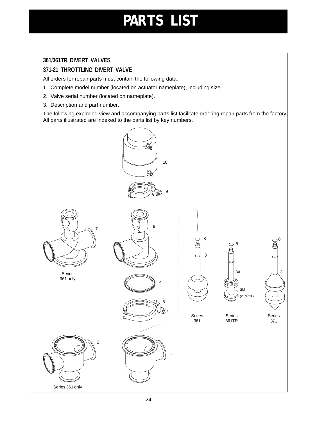## **PARTS LIST**

#### <span id="page-22-0"></span>**361/361TR DIVERT VALVES**

#### **371-21 THROTTLING DIVERT VALVE**

All orders for repair parts must contain the following data.

- 1. Complete model number (located on actuator nameplate), including size.
- 2. Valve serial number (located on nameplate).
- 3. Description and part number.

The following exploded view and accompanying parts list facilitate ordering repair parts from the factory. All parts illustrated are indexed to the parts list by key numbers.

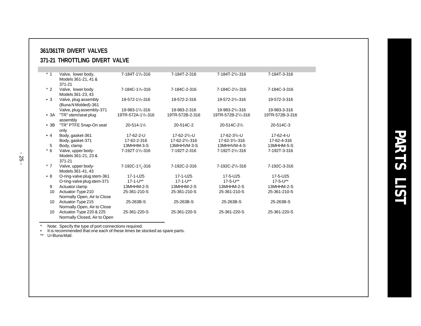#### <span id="page-23-0"></span>**361/361TR DIVERT VALVES 371-21 THROTTLING DIVERT VALVE**

| $*_{1}$         | Valve, lower body,<br>Models 361-21, 41 &<br>371-21     | 7-184T-11/2-316              | 7-184T-2-316      | 7-184T-2 <sup>1</sup> / <sub>2</sub> -316 | 7-184T-3-316    |
|-----------------|---------------------------------------------------------|------------------------------|-------------------|-------------------------------------------|-----------------|
| $*2$            | Valve, lower body<br>Models 361-23, 43                  | 7-184C-11/2-316              | 7-184C-2-316      | 7-184C-2 <sup>1</sup> / <sub>2</sub> -316 | 7-184C-3-316    |
| $\bullet$ 3     | Valve, plug assembly<br>(Buna N Molded)-361             | 19-572-11/2-316              | 19-572-2-316      | 19-572-21/2-316                           | 19-572-3-316    |
|                 | Valve, plug assembly-371                                | 19-983-11/2-316              | 19-983-2-316      | 19-983-21/2-316                           | 19-983-3-316    |
| $\bullet$ 3A    | "TR" stem/seat plug<br>assembly                         | 19TR-572A-11/2-316           | 19TR-572B-2-316   | 19TR-572B-21/2-316                        | 19TR-572B-3-316 |
| $\cdot$ 3B      | "TR" PTFE Snap-On seat<br>only                          | $20 - 514 - 11/2$            | 20-514C-2         | 20-514C-2 <sup>1</sup> /2                 | 20-514C-3       |
| $\bullet$ 4     | Body, gasket-361                                        | 17-62-2-U                    | 17-62-21/2-U      | 17-62-31/2-U                              | 17-62-4-U       |
|                 | Body, gasket-371                                        | 17-62-2-316                  | 17-62-21/2-316    | 17-62-31/2-316                            | 17-62-4-316     |
| 5               | Body, clamp                                             | 13MHHM-3-S                   | 13MHHVM-3-S       | 13MHHVM-4-S                               | 13MHHM-5-S      |
| $*6$            | Valve, upper body-<br>Models 361-21, 23 &<br>371-21     | 7-192T-11/2-316              | 7-192T-2-316      | 7-192T-2 <sup>1</sup> / <sub>2</sub> -316 | 7-192T-3-316    |
| $*7$            | Valve, upper body-<br>Models 361-41, 43                 | 7-192C-11/ <sub>2</sub> -316 | 7-192C-2-316      | 7-192C-21/2-316                           | 7-192C-3-316    |
| • 8             | O-ring-valve plug stem-361                              | 17-1-U25                     | 17-1-U25          | 17-5-U25                                  | 17-5-U25        |
|                 | O-ring-valve plug stem-371                              | $17 - 1 - U^{**}$            | $17 - 1 - U^{**}$ | $17 - 5 - U^{**}$                         | 17-5-U**        |
| 9               | Actuator clamp                                          | 13MHHM-2-S                   | 13MHHM-2-S        | 13MHHM-2-S                                | 13MHHM-2-S      |
| 10              | Actuator-Type 210<br>Normally Open, Air to Close        | 25-361-210-S                 | 25-361-210-S      | 25-361-210-S                              | 25-361-210-S    |
| 10              | Actuator-Type 215<br>Normally Open, Air to Close        | 25-263B-S                    | 25-263B-S         | 25-263B-S                                 | 25-263B-S       |
| 10 <sup>°</sup> | Actuator-Type 220 & 225<br>Normally Closed, Air to Open | 25-361-220-S                 | 25-361-220-S      | 25-361-220-S                              | 25-361-220-S    |

\* Note: Specify the type of port connections required. • It is recommended that one each of these itmes be stocked as spare parts. \*\* U=Buna Matl.

- 25 -